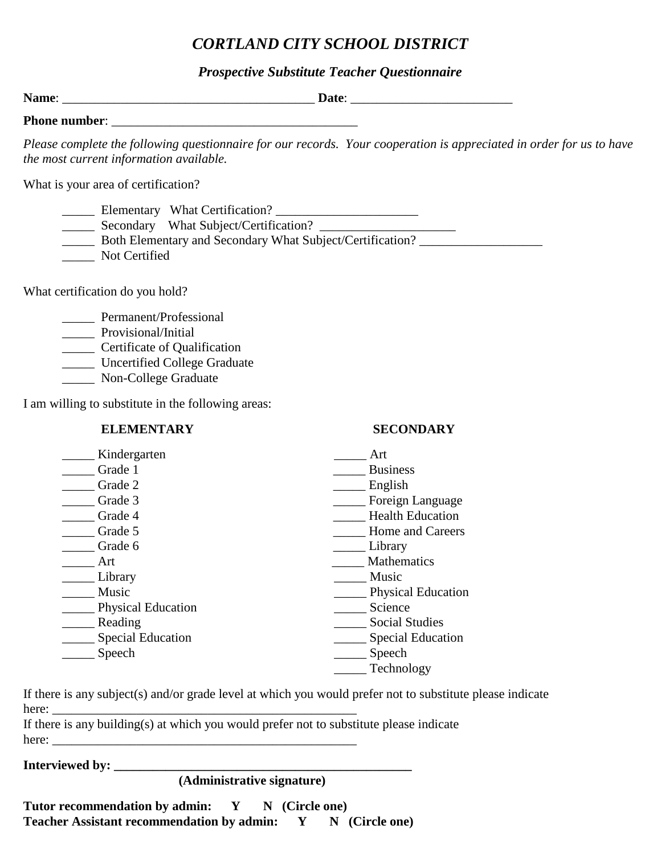# *CORTLAND CITY SCHOOL DISTRICT*

### *Prospective Substitute Teacher Questionnaire*

| the most current information available.                                                                                                                                                      | Please complete the following questionnaire for our records. Your cooperation is appreciated in order for us to have                                                                                                                                                                                        |
|----------------------------------------------------------------------------------------------------------------------------------------------------------------------------------------------|-------------------------------------------------------------------------------------------------------------------------------------------------------------------------------------------------------------------------------------------------------------------------------------------------------------|
| What is your area of certification?                                                                                                                                                          |                                                                                                                                                                                                                                                                                                             |
| _______ Secondary What Subject/Certification? __________________________________<br>Not Certified                                                                                            |                                                                                                                                                                                                                                                                                                             |
| What certification do you hold?                                                                                                                                                              |                                                                                                                                                                                                                                                                                                             |
| _________ Permanent/Professional<br>________ Provisional/Initial<br>Certificate of Qualification<br>_____ Uncertified College Graduate<br>______ Non-College Graduate                        |                                                                                                                                                                                                                                                                                                             |
| I am willing to substitute in the following areas:                                                                                                                                           |                                                                                                                                                                                                                                                                                                             |
| <b>ELEMENTARY</b>                                                                                                                                                                            | <b>SECONDARY</b>                                                                                                                                                                                                                                                                                            |
| ____ Kindergarten<br>Crade 1<br>Grade 2<br>Grade 3<br>Crade 4<br>Crade 5<br>Grade 6<br>Art<br>Library<br>Music<br><b>Physical Education</b><br>Reading<br><b>Special Education</b><br>Speech | Art<br><b>Business</b><br>$\overline{\phantom{a}}$<br><u>English</u><br>____ Foreign Language<br><b>Health Education</b><br><b>Home and Careers</b><br>Library<br>Mathematics<br>Music<br><b>Physical Education</b><br>Science<br><b>Social Studies</b><br><b>Special Education</b><br>Speech<br>Technology |

If there is any subject(s) and/or grade level at which you would prefer not to substitute please indicate here: \_\_\_\_\_\_\_\_\_\_\_\_\_\_\_\_\_\_\_\_\_\_\_\_\_\_\_\_\_\_\_\_\_\_\_\_\_\_\_\_\_\_\_\_\_\_\_

If there is any building(s) at which you would prefer not to substitute please indicate here: \_\_\_\_\_\_\_\_\_\_\_\_\_\_\_\_\_\_\_\_\_\_\_\_\_\_\_\_\_\_\_\_\_\_\_\_\_\_\_\_\_\_\_\_\_\_\_

**Interviewed by: \_\_\_\_\_\_\_\_\_\_\_\_\_\_\_\_\_\_\_\_\_\_\_\_\_\_\_\_\_\_\_\_\_\_\_\_\_\_\_\_\_\_\_\_\_\_** 

 **(Administrative signature)** 

Tutor recommendation by admin: Y N (Circle one) Teacher Assistant recommendation by admin: Y N (Circle one)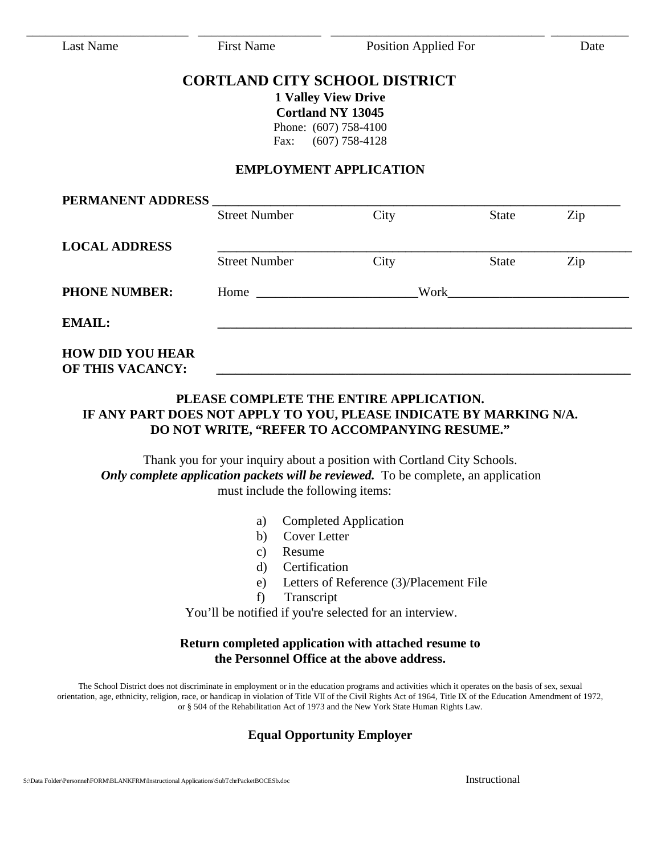Last Name First Name Position Applied For Date

## **CORTLAND CITY SCHOOL DISTRICT**

\_\_\_\_\_\_\_\_\_\_\_\_\_\_\_\_\_\_\_\_\_\_\_\_\_ \_\_\_\_\_\_\_\_\_\_\_\_\_\_\_\_\_\_\_ \_\_\_\_\_\_\_\_\_\_\_\_\_\_\_\_\_\_\_\_\_\_\_\_\_\_\_\_\_\_\_\_\_ \_\_\_\_\_\_\_\_\_\_\_\_

**1 Valley View Drive Cortland NY 13045**  Phone: (607) 758-4100 Fax: (607) 758-4128

### **EMPLOYMENT APPLICATION**

|                      | <b>Street Number</b> | City | <b>State</b> | Zip |
|----------------------|----------------------|------|--------------|-----|
| <b>LOCAL ADDRESS</b> |                      |      |              |     |
|                      | <b>Street Number</b> | City | <b>State</b> | Zip |
| <b>PHONE NUMBER:</b> | Home $\qquad$        | Work |              |     |
| <b>EMAIL:</b>        |                      |      |              |     |

### **PLEASE COMPLETE THE ENTIRE APPLICATION. IF ANY PART DOES NOT APPLY TO YOU, PLEASE INDICATE BY MARKING N/A. DO NOT WRITE, "REFER TO ACCOMPANYING RESUME."**

Thank you for your inquiry about a position with Cortland City Schools. *Only complete application packets will be reviewed.* To be complete, an application must include the following items:

- a) Completed Application
- b) Cover Letter
- c) Resume
- d) Certification
- e) Letters of Reference (3)/Placement File
- f) Transcript

You'll be notified if you're selected for an interview.

### **Return completed application with attached resume to the Personnel Office at the above address.**

The School District does not discriminate in employment or in the education programs and activities which it operates on the basis of sex, sexual orientation, age, ethnicity, religion, race, or handicap in violation of Title VII of the Civil Rights Act of 1964, Title IX of the Education Amendment of 1972, or § 504 of the Rehabilitation Act of 1973 and the New York State Human Rights Law.

# **Equal Opportunity Employer**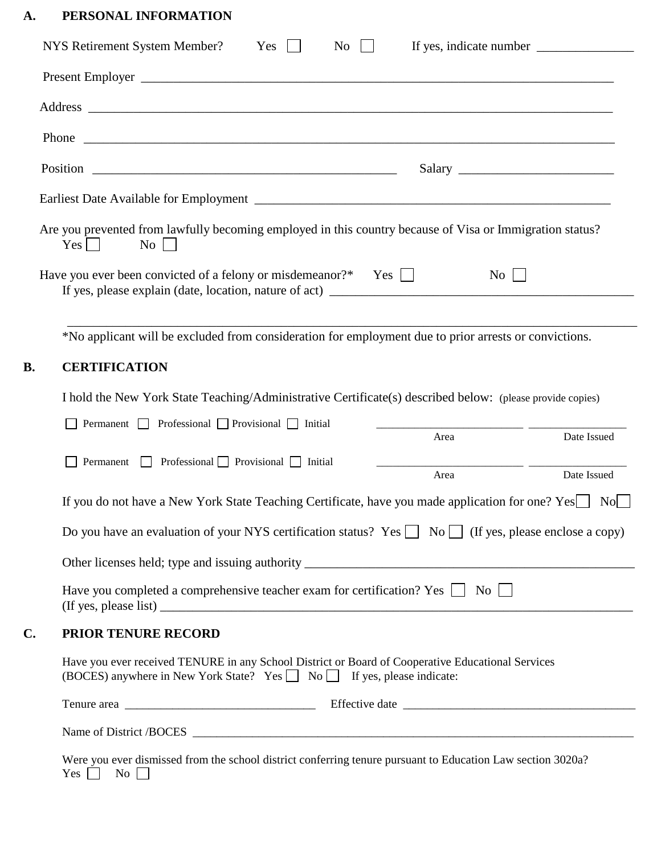# **A. PERSONAL INFORMATION**

|    | Are you prevented from lawfully becoming employed in this country because of Visa or Immigration status?<br>$\mathrm{No}$    <br>$Yes \mid \mid$                             |  |      |               |             |
|----|------------------------------------------------------------------------------------------------------------------------------------------------------------------------------|--|------|---------------|-------------|
|    | Have you ever been convicted of a felony or misdemeanor?* Yes                                                                                                                |  |      | $\mathrm{No}$ |             |
|    | *No applicant will be excluded from consideration for employment due to prior arrests or convictions.                                                                        |  |      |               |             |
|    |                                                                                                                                                                              |  |      |               |             |
|    | <b>CERTIFICATION</b>                                                                                                                                                         |  |      |               |             |
| B. | I hold the New York State Teaching/Administrative Certificate(s) described below: (please provide copies)                                                                    |  |      |               |             |
|    | Permanent $\Box$ Professional $\Box$ Provisional $\Box$ Initial                                                                                                              |  |      |               |             |
|    |                                                                                                                                                                              |  | Area |               | Date Issued |
|    | Permanent $\Box$ Professional $\Box$ Provisional $\Box$ Initial                                                                                                              |  | Area |               | Date Issued |
|    | If you do not have a New York State Teaching Certificate, have you made application for one? Yes   No                                                                        |  |      |               |             |
|    | Do you have an evaluation of your NYS certification status? Yes $\Box$ No $\Box$ (If yes, please enclose a copy)                                                             |  |      |               |             |
|    |                                                                                                                                                                              |  |      |               |             |
|    | Have you completed a comprehensive teacher exam for certification? Yes $\Box$ No $\Box$                                                                                      |  |      |               |             |
|    | PRIOR TENURE RECORD                                                                                                                                                          |  |      |               |             |
| C. | Have you ever received TENURE in any School District or Board of Cooperative Educational Services<br>(BOCES) anywhere in New York State? Yes □ No □ If yes, please indicate: |  |      |               |             |
|    |                                                                                                                                                                              |  |      |               |             |

 $Yes \Box No \Box$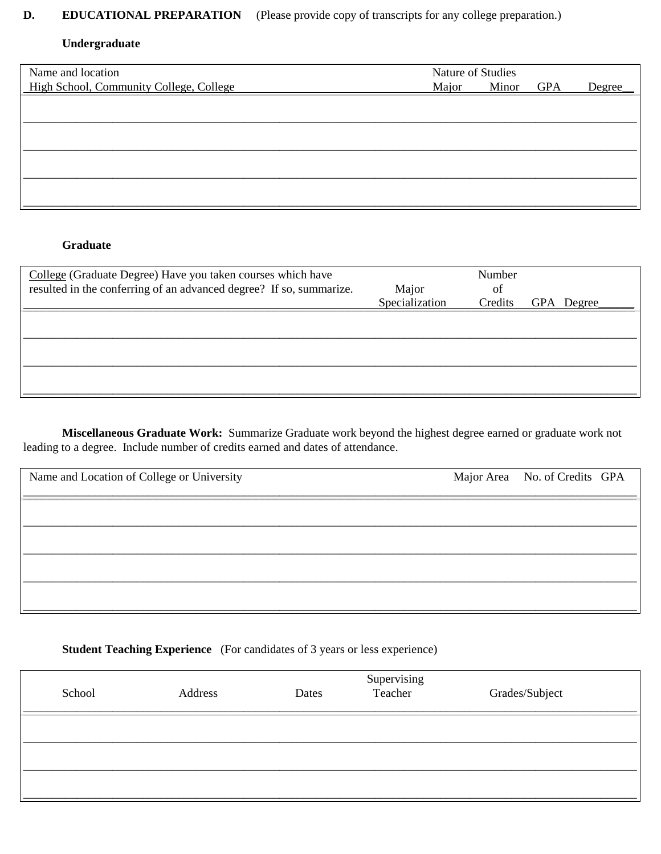#### **EDUCATIONAL PREPARATION** (Please provide copy of transcripts for any college preparation.) D.

### Undergraduate

| Name and location                       | Nature of Studies |       |            |        |
|-----------------------------------------|-------------------|-------|------------|--------|
| High School, Community College, College | Major             | Minor | <b>GPA</b> | Degree |
|                                         |                   |       |            |        |
|                                         |                   |       |            |        |
|                                         |                   |       |            |        |
|                                         |                   |       |            |        |
|                                         |                   |       |            |        |
|                                         |                   |       |            |        |
|                                         |                   |       |            |        |
|                                         |                   |       |            |        |

## Graduate

| Major<br>Specialization | Number<br>of<br>Credits | GPA Degree |
|-------------------------|-------------------------|------------|
|                         |                         |            |
|                         |                         |            |
|                         |                         |            |
|                         |                         |            |

Miscellaneous Graduate Work: Summarize Graduate work beyond the highest degree earned or graduate work not leading to a degree. Include number of credits earned and dates of attendance.

| Name and Location of College or University | Major Area No. of Credits GPA |  |
|--------------------------------------------|-------------------------------|--|
|                                            |                               |  |
|                                            |                               |  |
|                                            |                               |  |
|                                            |                               |  |
|                                            |                               |  |

# **Student Teaching Experience** (For candidates of 3 years or less experience)

| School | Address | Dates | Supervising<br>Teacher | Grades/Subject |
|--------|---------|-------|------------------------|----------------|
|        |         |       |                        |                |
|        |         |       |                        |                |
|        |         |       |                        |                |